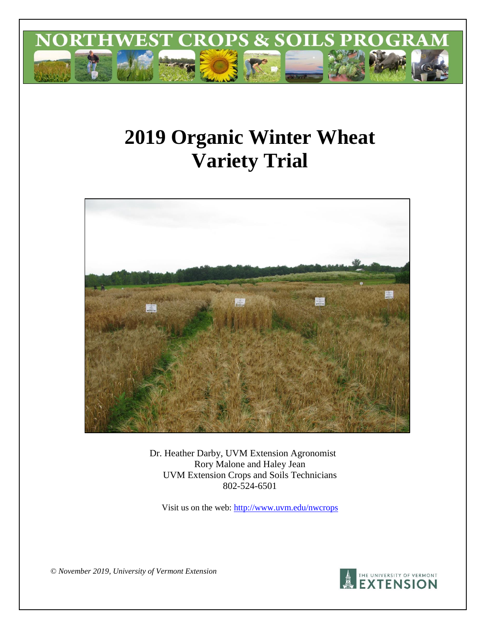

# **2019 Organic Winter Wheat Variety Trial**



Dr. Heather Darby, UVM Extension Agronomist Rory Malone and Haley Jean UVM Extension Crops and Soils Technicians 802-524-6501

Visit us on the web:<http://www.uvm.edu/nwcrops>

*© November 2019, University of Vermont Extension* 

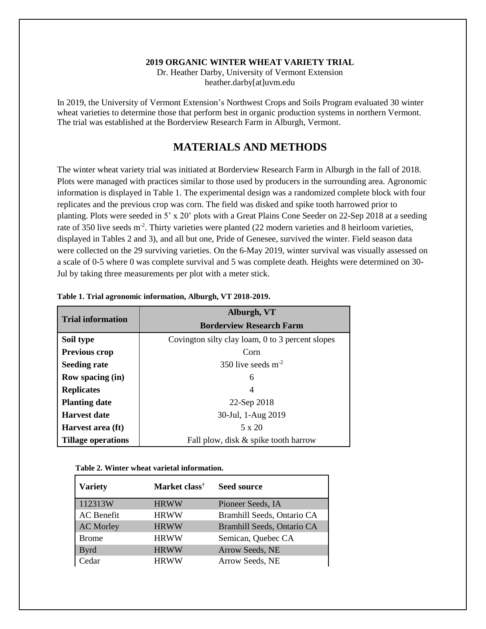#### **2019 ORGANIC WINTER WHEAT VARIETY TRIAL**

Dr. Heather Darby, University of Vermont Extension heather.darby[at]uvm.edu

In 2019, the University of Vermont Extension's Northwest Crops and Soils Program evaluated 30 winter wheat varieties to determine those that perform best in organic production systems in northern Vermont. The trial was established at the Borderview Research Farm in Alburgh, Vermont.

## **MATERIALS AND METHODS**

The winter wheat variety trial was initiated at Borderview Research Farm in Alburgh in the fall of 2018. Plots were managed with practices similar to those used by producers in the surrounding area. Agronomic information is displayed in Table 1. The experimental design was a randomized complete block with four replicates and the previous crop was corn. The field was disked and spike tooth harrowed prior to planting. Plots were seeded in 5' x 20' plots with a Great Plains Cone Seeder on 22-Sep 2018 at a seeding rate of 350 live seeds m<sup>-2</sup>. Thirty varieties were planted (22 modern varieties and 8 heirloom varieties, displayed in Tables 2 and 3), and all but one, Pride of Genesee, survived the winter. Field season data were collected on the 29 surviving varieties. On the 6-May 2019, winter survival was visually assessed on a scale of 0-5 where 0 was complete survival and 5 was complete death. Heights were determined on 30- Jul by taking three measurements per plot with a meter stick.

| <b>Trial information</b>  | Alburgh, VT<br><b>Borderview Research Farm</b>   |  |  |  |  |
|---------------------------|--------------------------------------------------|--|--|--|--|
| Soil type                 | Covington silty clay loam, 0 to 3 percent slopes |  |  |  |  |
| Previous crop             | Corn                                             |  |  |  |  |
| <b>Seeding rate</b>       | 350 live seeds $m2$                              |  |  |  |  |
| Row spacing (in)          | 6                                                |  |  |  |  |
| <b>Replicates</b>         | 4                                                |  |  |  |  |
| <b>Planting date</b>      | 22-Sep 2018                                      |  |  |  |  |
| <b>Harvest date</b>       | 30-Jul, 1-Aug 2019                               |  |  |  |  |
| Harvest area (ft)         | $5 \times 20$                                    |  |  |  |  |
| <b>Tillage operations</b> | Fall plow, disk & spike tooth harrow             |  |  |  |  |

|  |  | Table 1. Trial agronomic information, Alburgh, VT 2018-2019. |
|--|--|--------------------------------------------------------------|
|  |  |                                                              |
|  |  |                                                              |

| Table 2. Winter wheat varietal information. |  |  |  |
|---------------------------------------------|--|--|--|
|---------------------------------------------|--|--|--|

| <b>Variety</b>    | Market class <sup>†</sup> | <b>Seed source</b>         |
|-------------------|---------------------------|----------------------------|
| 112313W           | <b>HRWW</b>               | Pioneer Seeds, IA          |
| <b>AC</b> Benefit | <b>HRWW</b>               | Bramhill Seeds, Ontario CA |
| <b>AC Morley</b>  | <b>HRWW</b>               | Bramhill Seeds, Ontario CA |
| <b>Brome</b>      | <b>HRWW</b>               | Semican, Quebec CA         |
| <b>Byrd</b>       | <b>HRWW</b>               | Arrow Seeds, NE            |
| Cedar             | <b>HRWW</b>               | Arrow Seeds, NE            |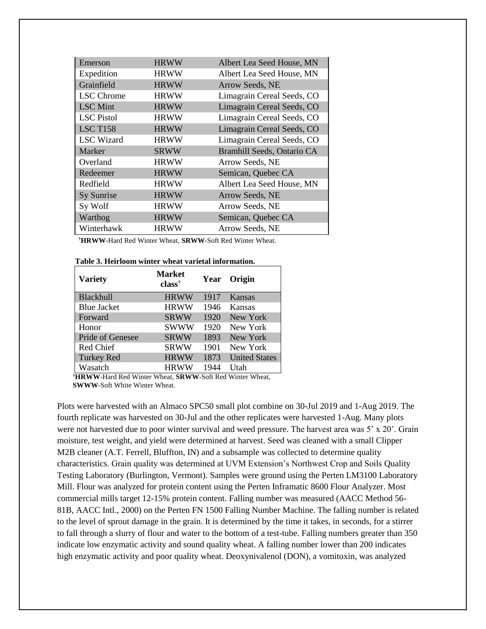| Emerson           | <b>HRWW</b> | Albert Lea Seed House, MN  |
|-------------------|-------------|----------------------------|
| Expedition        | <b>HRWW</b> | Albert Lea Seed House, MN  |
| Grainfield        | <b>HRWW</b> | Arrow Seeds, NE            |
| <b>LSC</b> Chrome | <b>HRWW</b> | Limagrain Cereal Seeds, CO |
| <b>LSC</b> Mint   | <b>HRWW</b> | Limagrain Cereal Seeds, CO |
| <b>LSC</b> Pistol | <b>HRWW</b> | Limagrain Cereal Seeds, CO |
| <b>LSC T158</b>   | <b>HRWW</b> | Limagrain Cereal Seeds, CO |
| <b>LSC</b> Wizard | <b>HRWW</b> | Limagrain Cereal Seeds, CO |
| Marker            | <b>SRWW</b> | Bramhill Seeds, Ontario CA |
| Overland          | <b>HRWW</b> | Arrow Seeds, NE            |
| Redeemer          | <b>HRWW</b> | Semican, Quebec CA         |
| Redfield          | <b>HRWW</b> | Albert Lea Seed House, MN  |
| Sy Sunrise        | <b>HRWW</b> | Arrow Seeds, NE            |
| Sy Wolf           | <b>HRWW</b> | Arrow Seeds, NE            |
| Warthog           | <b>HRWW</b> | Semican, Quebec CA         |
| Winterhawk        | <b>HRWW</b> | Arrow Seeds, NE            |

**†HRWW**-Hard Red Winter Wheat, **SRWW**-Soft Red Winter Wheat.

| <b>Variety</b>     | <b>Market</b><br>$class^{\dagger}$ |      | Year Origin          |
|--------------------|------------------------------------|------|----------------------|
| Blackhull          | <b>HRWW</b>                        | 1917 | Kansas               |
| <b>Blue Jacket</b> | <b>HRWW</b>                        | 1946 | Kansas               |
| Forward            | <b>SRWW</b>                        | 1920 | New York             |
| Honor              | <b>SWWW</b>                        | 1920 | New York             |
| Pride of Genesee   | <b>SRWW</b>                        | 1893 | New York             |
| Red Chief          | <b>SRWW</b>                        | 1901 | New York             |
| <b>Turkey Red</b>  | <b>HRWW</b>                        | 1873 | <b>United States</b> |
| Wasatch            | <b>HRWW</b>                        | 1944 | Utah                 |

**†HRWW**-Hard Red Winter Wheat, **SRWW**-Soft Red Winter Wheat, **SWWW**-Soft White Winter Wheat.

Plots were harvested with an Almaco SPC50 small plot combine on 30-Jul 2019 and 1-Aug 2019. The fourth replicate was harvested on 30-Jul and the other replicates were harvested 1-Aug. Many plots were not harvested due to poor winter survival and weed pressure. The harvest area was 5' x 20'. Grain moisture, test weight, and yield were determined at harvest. Seed was cleaned with a small Clipper M2B cleaner (A.T. Ferrell, Bluffton, IN) and a subsample was collected to determine quality characteristics. Grain quality was determined at UVM Extension's Northwest Crop and Soils Quality Testing Laboratory (Burlington, Vermont). Samples were ground using the Perten LM3100 Laboratory Mill. Flour was analyzed for protein content using the Perten Inframatic 8600 Flour Analyzer. Most commercial mills target 12-15% protein content. Falling number was measured (AACC Method 56- 81B, AACC Intl., 2000) on the Perten FN 1500 Falling Number Machine. The falling number is related to the level of sprout damage in the grain. It is determined by the time it takes, in seconds, for a stirrer to fall through a slurry of flour and water to the bottom of a test-tube. Falling numbers greater than 350 indicate low enzymatic activity and sound quality wheat. A falling number lower than 200 indicates high enzymatic activity and poor quality wheat. Deoxynivalenol (DON), a vomitoxin, was analyzed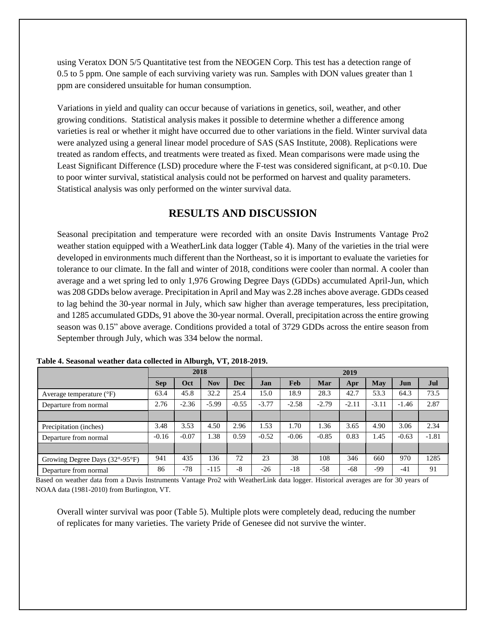using Veratox DON 5/5 Quantitative test from the NEOGEN Corp. This test has a detection range of 0.5 to 5 ppm. One sample of each surviving variety was run. Samples with DON values greater than 1 ppm are considered unsuitable for human consumption.

Variations in yield and quality can occur because of variations in genetics, soil, weather, and other growing conditions. Statistical analysis makes it possible to determine whether a difference among varieties is real or whether it might have occurred due to other variations in the field. Winter survival data were analyzed using a general linear model procedure of SAS (SAS Institute, 2008). Replications were treated as random effects, and treatments were treated as fixed. Mean comparisons were made using the Least Significant Difference (LSD) procedure where the F-test was considered significant, at p<0.10. Due to poor winter survival, statistical analysis could not be performed on harvest and quality parameters. Statistical analysis was only performed on the winter survival data.

## **RESULTS AND DISCUSSION**

Seasonal precipitation and temperature were recorded with an onsite Davis Instruments Vantage Pro2 weather station equipped with a WeatherLink data logger (Table 4). Many of the varieties in the trial were developed in environments much different than the Northeast, so it is important to evaluate the varieties for tolerance to our climate. In the fall and winter of 2018, conditions were cooler than normal. A cooler than average and a wet spring led to only 1,976 Growing Degree Days (GDDs) accumulated April-Jun, which was 208 GDDs below average. Precipitation in April and May was 2.28 inches above average. GDDs ceased to lag behind the 30-year normal in July, which saw higher than average temperatures, less precipitation, and 1285 accumulated GDDs, 91 above the 30-year normal. Overall, precipitation across the entire growing season was 0.15" above average. Conditions provided a total of 3729 GDDs across the entire season from September through July, which was 334 below the normal.

|                                                     | 2018       |         |            | 2019       |         |         |         |         |         |         |         |
|-----------------------------------------------------|------------|---------|------------|------------|---------|---------|---------|---------|---------|---------|---------|
|                                                     | <b>Sep</b> | Oct     | <b>Nov</b> | <b>Dec</b> | Jan     | Feb     | Mar     | Apr     | May     | Jun     | Jul     |
| Average temperature $(^{\circ}F)$                   | 63.4       | 45.8    | 32.2       | 25.4       | 15.0    | 18.9    | 28.3    | 42.7    | 53.3    | 64.3    | 73.5    |
| Departure from normal                               | 2.76       | $-2.36$ | $-5.99$    | $-0.55$    | $-3.77$ | $-2.58$ | $-2.79$ | $-2.11$ | $-3.11$ | $-1.46$ | 2.87    |
|                                                     |            |         |            |            |         |         |         |         |         |         |         |
| Precipitation (inches)                              | 3.48       | 3.53    | 4.50       | 2.96       | 1.53    | 1.70    | 1.36    | 3.65    | 4.90    | 3.06    | 2.34    |
| Departure from normal                               | $-0.16$    | $-0.07$ | 1.38       | 0.59       | $-0.52$ | $-0.06$ | $-0.85$ | 0.83    | 1.45    | $-0.63$ | $-1.81$ |
|                                                     |            |         |            |            |         |         |         |         |         |         |         |
| Growing Degree Days $(32^{\circ}$ -95 $^{\circ}$ F) | 941        | 435     | 136        | 72         | 23      | 38      | 108     | 346     | 660     | 970     | 1285    |
| Departure from normal                               | 86         | $-78$   | $-115$     | $-8$       | $-26$   | $-18$   | $-58$   | $-68$   | -99     | $-41$   | 91      |

 **Table 4. Seasonal weather data collected in Alburgh, VT, 2018-2019.** 

Based on weather data from a Davis Instruments Vantage Pro2 with WeatherLink data logger. Historical averages are for 30 years of NOAA data (1981-2010) from Burlington, VT.

Overall winter survival was poor (Table 5). Multiple plots were completely dead, reducing the number of replicates for many varieties. The variety Pride of Genesee did not survive the winter.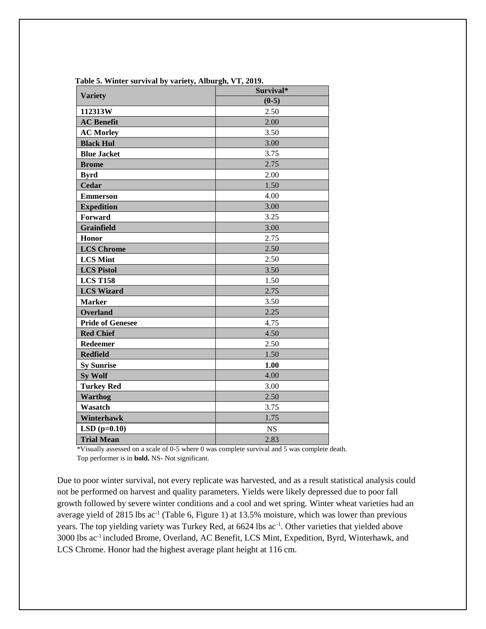| <b>Variety</b>          | Survival* |  |  |  |
|-------------------------|-----------|--|--|--|
|                         | $(0-5)$   |  |  |  |
| 112313W                 | 2.50      |  |  |  |
| <b>AC</b> Benefit       | 2.00      |  |  |  |
| <b>AC Morley</b>        | 3.50      |  |  |  |
| <b>Black Hul</b>        | 3.00      |  |  |  |
| <b>Blue Jacket</b>      | 3.75      |  |  |  |
| <b>Brome</b>            | 2.75      |  |  |  |
| <b>Byrd</b>             | 2.00      |  |  |  |
| <b>Cedar</b>            | 1.50      |  |  |  |
| <b>Emmerson</b>         | 4.00      |  |  |  |
| <b>Expedition</b>       | 3.00      |  |  |  |
| Forward                 | 3.25      |  |  |  |
| <b>Grainfield</b>       | 3.00      |  |  |  |
| Honor                   | 2.75      |  |  |  |
| <b>LCS Chrome</b>       | 2.50      |  |  |  |
| <b>LCS Mint</b>         | 2.50      |  |  |  |
| <b>LCS Pistol</b>       | 3.50      |  |  |  |
| <b>LCS T158</b>         | 1.50      |  |  |  |
| <b>LCS Wizard</b>       | 2.75      |  |  |  |
| <b>Marker</b>           | 3.50      |  |  |  |
| <b>Overland</b>         | 2.25      |  |  |  |
| <b>Pride of Genesee</b> | 4.75      |  |  |  |
| <b>Red Chief</b>        | 4.50      |  |  |  |
| Redeemer                | 2.50      |  |  |  |
| <b>Redfield</b>         | 1.50      |  |  |  |
| <b>Sy Sunrise</b>       | 1.00      |  |  |  |
| <b>Sy Wolf</b>          | 4.00      |  |  |  |
| <b>Turkey Red</b>       | 3.00      |  |  |  |
| <b>Warthog</b>          | 2.50      |  |  |  |
| Wasatch                 | 3.75      |  |  |  |
| Winterhawk              | 1.75      |  |  |  |
| $LSD(p=0.10)$           | <b>NS</b> |  |  |  |
| <b>Trial Mean</b>       | 2.83      |  |  |  |

**Table 5. Winter survival by variety, Alburgh, VT, 2019.**

 \*Visually assessed on a scale of 0-5 where 0 was complete survival and 5 was complete death. Top performer is in **bold.** NS- Not significant.

Due to poor winter survival, not every replicate was harvested, and as a result statistical analysis could not be performed on harvest and quality parameters. Yields were likely depressed due to poor fall growth followed by severe winter conditions and a cool and wet spring. Winter wheat varieties had an average yield of 2815 lbs  $ac^{-1}$  (Table 6, Figure 1) at 13.5% moisture, which was lower than previous years. The top yielding variety was Turkey Red, at 6624 lbs ac<sup>-1</sup>. Other varieties that yielded above 3000 lbs ac-1 included Brome, Overland, AC Benefit, LCS Mint, Expedition, Byrd, Winterhawk, and LCS Chrome. Honor had the highest average plant height at 116 cm.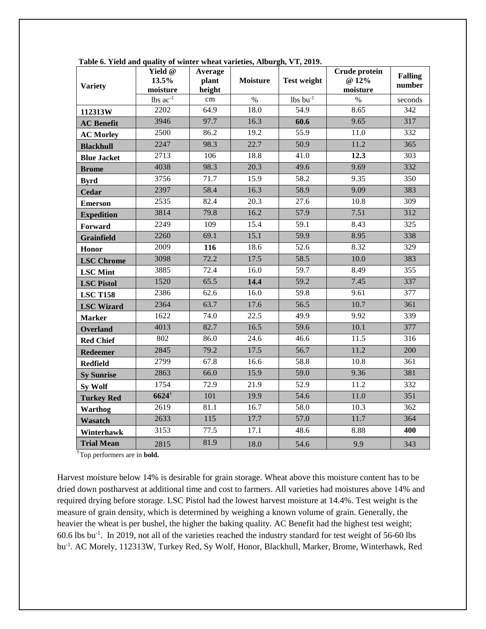| <b>Variety</b>     | Yield @<br>13.5%<br>moisture | Average<br>plant<br>height | <b>Moisture</b>   | <b>Test weight</b> | Crude protein<br>@ 12%<br>moisture | <b>Falling</b><br>number |
|--------------------|------------------------------|----------------------------|-------------------|--------------------|------------------------------------|--------------------------|
|                    | $lbs$ $ac^{-1}$              | cm                         | $\%$              | $lbs$ bu $^{-1}$   | $\%$                               | seconds                  |
| 112313W            | 2202                         | 64.9                       | 18.0              | 54.9               | 8.65                               | 342                      |
| <b>AC</b> Benefit  | 3946                         | 97.7                       | 16.3              | 60.6               | 9.65                               | 317                      |
| <b>AC Morley</b>   | 2500                         | 86.2                       | 19.2              | 55.9               | 11.0                               | 332                      |
| <b>Blackhull</b>   | 2247                         | 98.3                       | 22.7              | 50.9               | 11.2                               | 365                      |
| <b>Blue Jacket</b> | 2713                         | 106                        | 18.8              | 41.0               | 12.3                               | 303                      |
| <b>Brome</b>       | 4038                         | 98.3                       | 20.3              | 49.6               | 9.69                               | 332                      |
| <b>Byrd</b>        | 3756                         | 71.7                       | 15.9              | 58.2               | 9.35                               | 350                      |
| <b>Cedar</b>       | 2397                         | 58.4                       | 16.3              | 58.9               | 9.09                               | 383                      |
| <b>Emerson</b>     | 2535                         | 82.4                       | $\overline{20.3}$ | $\overline{27.6}$  | $\overline{10.8}$                  | $\overline{309}$         |
| <b>Expedition</b>  | 3814                         | 79.8                       | 16.2              | 57.9               | 7.51                               | 312                      |
| Forward            | 2249                         | 109                        | 15.4              | 59.1               | 8.43                               | 325                      |
| <b>Grainfield</b>  | 2260                         | 69.1                       | 15.1              | 59.9               | 8.95                               | 338                      |
| Honor              | 2009                         | 116                        | 18.6              | 52.6               | 8.32                               | 329                      |
| <b>LSC</b> Chrome  | 3098                         | 72.2                       | 17.5              | 58.5               | 10.0                               | 383                      |
| <b>LSC</b> Mint    | 3885                         | 72.4                       | 16.0              | 59.7               | 8.49                               | 355                      |
| <b>LSC Pistol</b>  | 1520                         | 65.5                       | 14.4              | 59.2               | 7.45                               | 337                      |
| <b>LSC T158</b>    | 2386                         | 62.6                       | 16.0              | 59.8               | 9.61                               | 377                      |
| <b>LSC Wizard</b>  | 2364                         | 63.7                       | 17.6              | 56.5               | 10.7                               | 361                      |
| <b>Marker</b>      | 1622                         | 74.0                       | 22.5              | 49.9               | 9.92                               | 339                      |
| <b>Overland</b>    | 4013                         | 82.7                       | 16.5              | 59.6               | 10.1                               | 377                      |
| <b>Red Chief</b>   | 802                          | 86.0                       | 24.6              | 46.6               | 11.5                               | 316                      |
| <b>Redeemer</b>    | 2845                         | 79.2                       | 17.5              | 56.7               | 11.2                               | 200                      |
| <b>Redfield</b>    | 2799                         | 67.8                       | 16.6              | 58.8               | 10.8                               | 361                      |
| <b>Sy Sunrise</b>  | 2863                         | 66.0                       | 15.9              | 59.0               | 9.36                               | 381                      |
| <b>Sy Wolf</b>     | 1754                         | 72.9                       | 21.9              | 52.9               | 11.2                               | 332                      |
| <b>Turkey Red</b>  | $6624^{\dagger}$             | 101                        | 19.9              | 54.6               | 11.0                               | 351                      |
| <b>Warthog</b>     | 2619                         | 81.1                       | 16.7              | 58.0               | 10.3                               | 362                      |
| Wasatch            | 2633                         | 115                        | 17.7              | 57.0               | 11.7                               | 364                      |
| Winterhawk         | 3153                         | 77.5                       | 17.1              | 48.6               | 8.88                               | 400                      |
| <b>Trial Mean</b>  | 2815                         | 81.9                       | 18.0              | 54.6               | 9.9                                | 343                      |

**Table 6. Yield and quality of winter wheat varieties, Alburgh, VT, 2019.**

†Top performers are in **bold.**

Harvest moisture below 14% is desirable for grain storage. Wheat above this moisture content has to be dried down postharvest at additional time and cost to farmers. All varieties had moistures above 14% and required drying before storage. LSC Pistol had the lowest harvest moisture at 14.4%. Test weight is the measure of grain density, which is determined by weighing a known volume of grain. Generally, the heavier the wheat is per bushel, the higher the baking quality. AC Benefit had the highest test weight; 60.6 lbs bu-1 . In 2019, not all of the varieties reached the industry standard for test weight of 56-60 lbs bu-1 . AC Morely, 112313W, Turkey Red, Sy Wolf, Honor, Blackhull, Marker, Brome, Winterhawk, Red